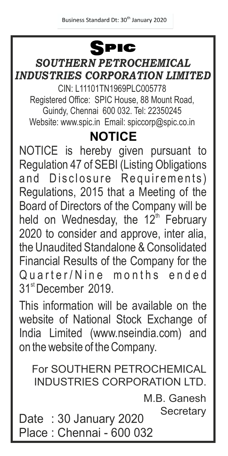# **SPIC**

#### *SOUTHERN PETROCHEMICAL INDUSTRIES CORPORATION LIMITED*

CIN: L11101TN1969PLC005778 Registered Office: SPIC House, 88 Mount Road, Guindy, Chennai 600 032. Tel: 22350245 Website: www.spic.in Email: spiccorp@spic.co.in

### **NOTICE**

NOTICE is hereby given pursuant to Regulation 47 of SEBI (Listing Obligations and Disclosure Requirements) Regulations, 2015 that a Meeting of the Board of Directors of the Company will be held on Wednesday, the 12<sup>th</sup> February 2020 to consider and approve, inter alia, the Unaudited Standalone & Consolidated Financial Results of the Company for the Quarter/Nine months ended 31<sup>st</sup> December 2019.

This information will be available on the website of National Stock Exchange of India Limited (www.nseindia.com) and on the website of the Company.

For SOUTHERN PETROCHEMICAL INDUSTRIES CORPORATION LTD.

> M.B. Ganesh **Secretary**

Date : 30 January 2020 Place : Chennai - 600 032